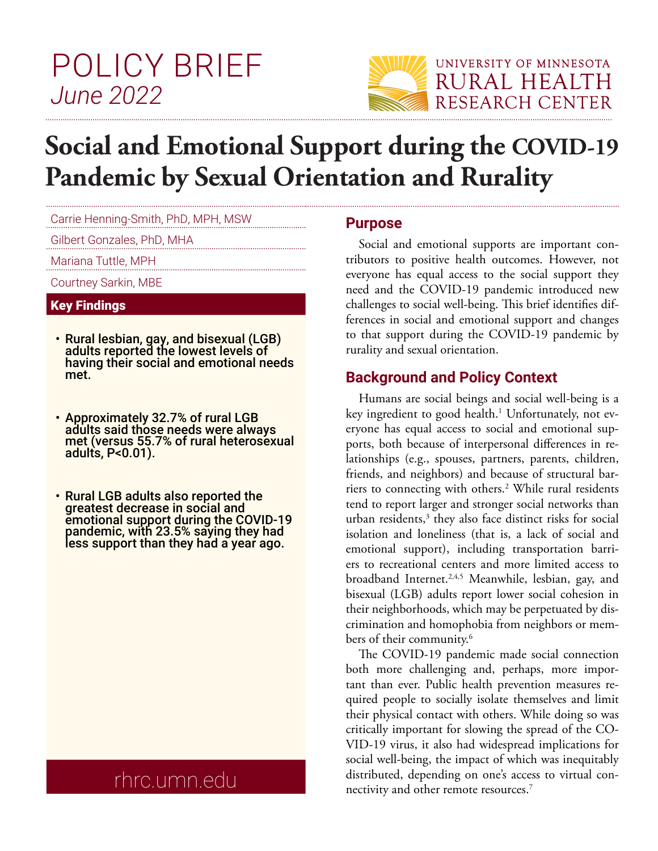# POLICY BRIEF *June 2022*



# **Social and Emotional Support during the COVID-19 Pandemic by Sexual Orientation and Rurality**

Carrie Henning-Smith, PhD, MPH, MSW

Gilbert Gonzales, PhD, MHA

Mariana Tuttle, MPH

Courtney Sarkin, MBE

#### Key Findings

- Rural lesbian, gay, and bisexual (LGB) adults reported the lowest levels of having their social and emotional needs met.
- Approximately 32.7% of rural LGB adults said those needs were always met (versus 55.7% of rural heterosexual adults, P<0.01).
- Rural LGB adults also reported the greatest decrease in social and emotional support during the COVID-19 pandemic, with 23.5% saying they had less support than they had a year ago.

# rhrc.umn.edu

#### **Purpose**

Social and emotional supports are important contributors to positive health outcomes. However, not everyone has equal access to the social support they need and the COVID-19 pandemic introduced new challenges to social well-being. This brief identifies differences in social and emotional support and changes to that support during the COVID-19 pandemic by rurality and sexual orientation.

### **Background and Policy Context**

Humans are social beings and social well-being is a key ingredient to good health.<sup>1</sup> Unfortunately, not everyone has equal access to social and emotional supports, both because of interpersonal differences in relationships (e.g., spouses, partners, parents, children, friends, and neighbors) and because of structural barriers to connecting with others.<sup>2</sup> While rural residents tend to report larger and stronger social networks than urban residents, $3$  they also face distinct risks for social isolation and loneliness (that is, a lack of social and emotional support), including transportation barriers to recreational centers and more limited access to broadband Internet.<sup>2,4,5</sup> Meanwhile, lesbian, gay, and bisexual (LGB) adults report lower social cohesion in their neighborhoods, which may be perpetuated by discrimination and homophobia from neighbors or members of their community.<sup>6</sup>

The COVID-19 pandemic made social connection both more challenging and, perhaps, more important than ever. Public health prevention measures required people to socially isolate themselves and limit their physical contact with others. While doing so was critically important for slowing the spread of the CO-VID-19 virus, it also had widespread implications for social well-being, the impact of which was inequitably distributed, depending on one's access to virtual connectivity and other remote resources. $7$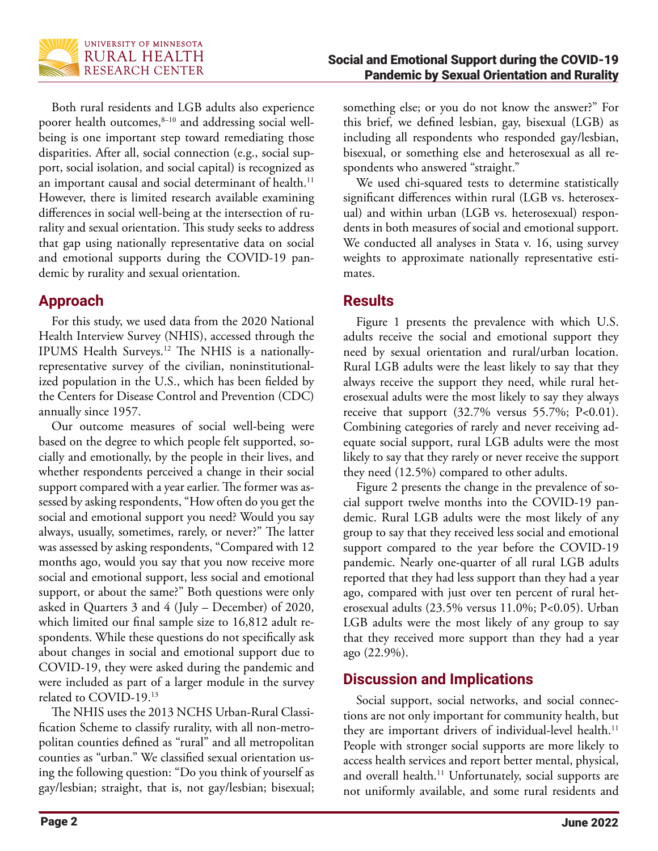

Both rural residents and LGB adults also experience poorer health outcomes,<sup>8-10</sup> and addressing social wellbeing is one important step toward remediating those disparities. After all, social connection (e.g., social support, social isolation, and social capital) is recognized as an important causal and social determinant of health.<sup>11</sup> However, there is limited research available examining differences in social well-being at the intersection of rurality and sexual orientation. This study seeks to address that gap using nationally representative data on social and emotional supports during the COVID-19 pandemic by rurality and sexual orientation.

# **Approach**

For this study, we used data from the 2020 National Health Interview Survey (NHIS), accessed through the IPUMS Health Surveys.12 The NHIS is a nationallyrepresentative survey of the civilian, noninstitutionalized population in the U.S., which has been fielded by the Centers for Disease Control and Prevention (CDC) annually since 1957.

Our outcome measures of social well-being were based on the degree to which people felt supported, socially and emotionally, by the people in their lives, and whether respondents perceived a change in their social support compared with a year earlier. The former was assessed by asking respondents, "How often do you get the social and emotional support you need? Would you say always, usually, sometimes, rarely, or never?" The latter was assessed by asking respondents, "Compared with 12 months ago, would you say that you now receive more social and emotional support, less social and emotional support, or about the same?" Both questions were only asked in Quarters 3 and 4 (July – December) of 2020, which limited our final sample size to 16,812 adult respondents. While these questions do not specifically ask about changes in social and emotional support due to COVID-19, they were asked during the pandemic and were included as part of a larger module in the survey related to COVID-19.13

The NHIS uses the 2013 NCHS Urban-Rural Classification Scheme to classify rurality, with all non-metropolitan counties defined as "rural" and all metropolitan counties as "urban." We classified sexual orientation using the following question: "Do you think of yourself as gay/lesbian; straight, that is, not gay/lesbian; bisexual; something else; or you do not know the answer?" For this brief, we defined lesbian, gay, bisexual (LGB) as including all respondents who responded gay/lesbian, bisexual, or something else and heterosexual as all respondents who answered "straight."

We used chi-squared tests to determine statistically significant differences within rural (LGB vs. heterosexual) and within urban (LGB vs. heterosexual) respondents in both measures of social and emotional support. We conducted all analyses in Stata v. 16, using survey weights to approximate nationally representative estimates.

### **Results**

Figure 1 presents the prevalence with which U.S. adults receive the social and emotional support they need by sexual orientation and rural/urban location. Rural LGB adults were the least likely to say that they always receive the support they need, while rural heterosexual adults were the most likely to say they always receive that support (32.7% versus 55.7%; P<0.01). Combining categories of rarely and never receiving adequate social support, rural LGB adults were the most likely to say that they rarely or never receive the support they need (12.5%) compared to other adults.

Figure 2 presents the change in the prevalence of social support twelve months into the COVID-19 pandemic. Rural LGB adults were the most likely of any group to say that they received less social and emotional support compared to the year before the COVID-19 pandemic. Nearly one-quarter of all rural LGB adults reported that they had less support than they had a year ago, compared with just over ten percent of rural heterosexual adults (23.5% versus 11.0%; P<0.05). Urban LGB adults were the most likely of any group to say that they received more support than they had a year ago (22.9%).

# **Discussion and Implications**

Social support, social networks, and social connections are not only important for community health, but they are important drivers of individual-level health.<sup>11</sup> People with stronger social supports are more likely to access health services and report better mental, physical, and overall health.<sup>11</sup> Unfortunately, social supports are not uniformly available, and some rural residents and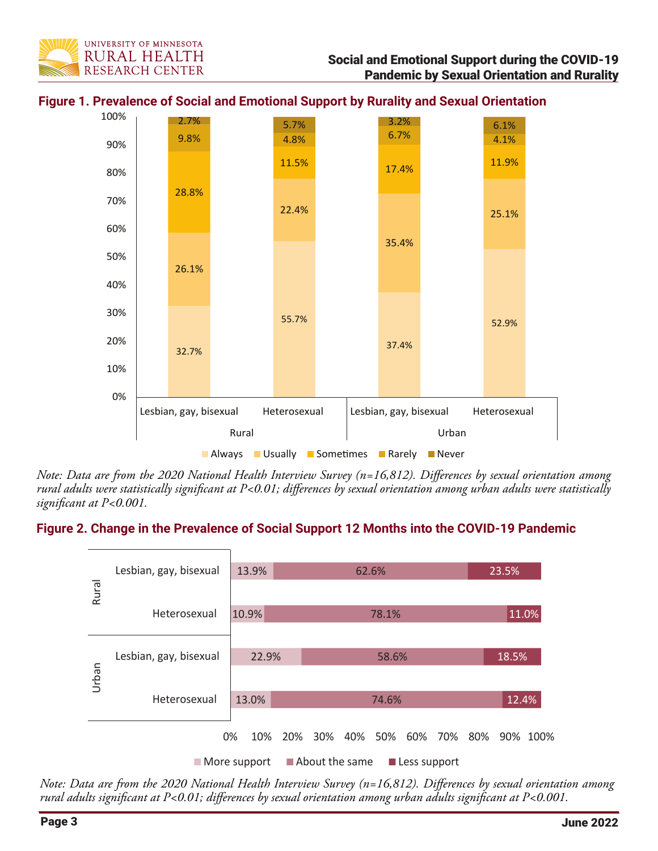



**Figure 1. Prevalence of Social and Emotional Support by Rurality and Sexual Orientation**

*Note: Data are from the 2020 National Health Interview Survey (n=16,812). Differences by sexual orientation among rural adults were statistically significant at P<0.01; differences by sexual orientation among urban adults were statistically significant at P<0.001.* 

#### **Figure 2. Change in the Prevalence of Social Support 12 Months into the COVID-19 Pandemic**



*Note: Data are from the 2020 National Health Interview Survey (n=16,812). Differences by sexual orientation among rural adults significant at P<0.01; differences by sexual orientation among urban adults significant at P<0.001.*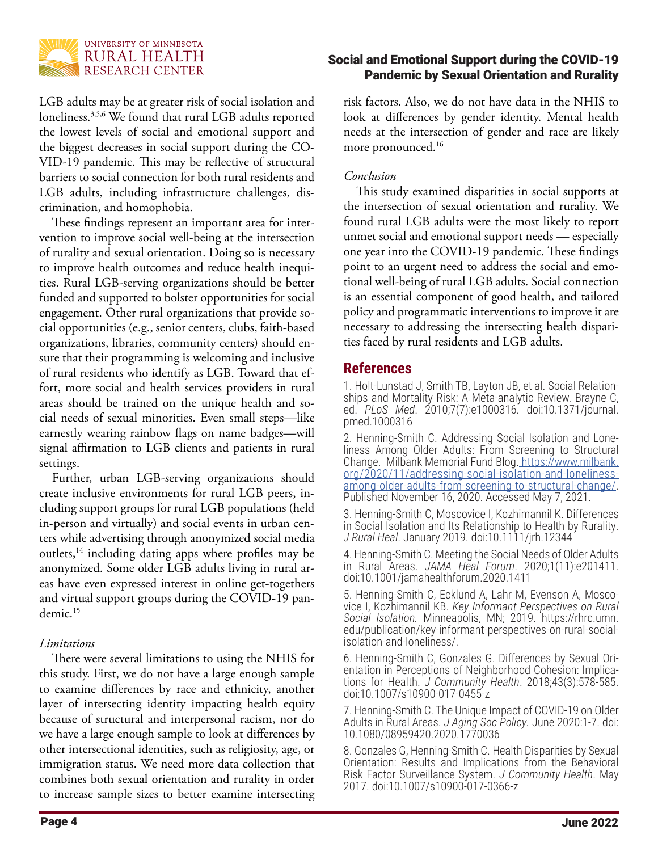

LGB adults may be at greater risk of social isolation and loneliness.3,5,6 We found that rural LGB adults reported the lowest levels of social and emotional support and the biggest decreases in social support during the CO-VID-19 pandemic. This may be reflective of structural barriers to social connection for both rural residents and LGB adults, including infrastructure challenges, discrimination, and homophobia.

These findings represent an important area for intervention to improve social well-being at the intersection of rurality and sexual orientation. Doing so is necessary to improve health outcomes and reduce health inequities. Rural LGB-serving organizations should be better funded and supported to bolster opportunities for social engagement. Other rural organizations that provide social opportunities (e.g., senior centers, clubs, faith-based organizations, libraries, community centers) should ensure that their programming is welcoming and inclusive of rural residents who identify as LGB. Toward that effort, more social and health services providers in rural areas should be trained on the unique health and social needs of sexual minorities. Even small steps—like earnestly wearing rainbow flags on name badges—will signal affirmation to LGB clients and patients in rural settings.

Further, urban LGB-serving organizations should create inclusive environments for rural LGB peers, including support groups for rural LGB populations (held in-person and virtually) and social events in urban centers while advertising through anonymized social media outlets,<sup>14</sup> including dating apps where profiles may be anonymized. Some older LGB adults living in rural areas have even expressed interest in online get-togethers and virtual support groups during the COVID-19 pandemic.15

#### *Limitations*

There were several limitations to using the NHIS for this study. First, we do not have a large enough sample to examine differences by race and ethnicity, another layer of intersecting identity impacting health equity because of structural and interpersonal racism, nor do we have a large enough sample to look at differences by other intersectional identities, such as religiosity, age, or immigration status. We need more data collection that combines both sexual orientation and rurality in order to increase sample sizes to better examine intersecting

risk factors. Also, we do not have data in the NHIS to look at differences by gender identity. Mental health needs at the intersection of gender and race are likely more pronounced.<sup>16</sup>

#### *Conclusion*

This study examined disparities in social supports at the intersection of sexual orientation and rurality. We found rural LGB adults were the most likely to report unmet social and emotional support needs — especially one year into the COVID-19 pandemic. These findings point to an urgent need to address the social and emotional well-being of rural LGB adults. Social connection is an essential component of good health, and tailored policy and programmatic interventions to improve it are necessary to addressing the intersecting health disparities faced by rural residents and LGB adults.

#### **References**

1. Holt-Lunstad J, Smith TB, Layton JB, et al. Social Relation- ships and Mortality Risk: A Meta-analytic Review. Brayne C, ed. *PLoS Med*. 2010;7(7):e1000316. doi:10.1371/journal. pmed.1000316

2. Henning-Smith C. Addressing Social Isolation and Loneliness Among Older Adults: From Screening to Structural Change. Milbank Memorial Fund Blog[. https://www.milbank.]( https://www.milbank.org/2020/11/addressing-social-isolation-and-loneliness-among-older-adults-from-screening-to-structural-change/) [org/2020/11/addressing-social-isolation-and-loneliness]( https://www.milbank.org/2020/11/addressing-social-isolation-and-loneliness-among-older-adults-from-screening-to-structural-change/)[among-older-adults-from-screening-to-structural-change/]( https://www.milbank.org/2020/11/addressing-social-isolation-and-loneliness-among-older-adults-from-screening-to-structural-change/). [Published November 16, 2020. Accessed May 7, 2021.]( https://www.milbank.org/2020/11/addressing-social-isolation-and-loneliness-among-older-adults-from-screening-to-structural-change/)

3. Henning-Smith C, Moscovice I, Kozhimannil K. Differences in Social Isolation and Its Relationship to Health by Rurality. *J Rural Heal*. January 2019. doi:10.1111/jrh.12344

4. Henning-Smith C. Meeting the Social Needs of Older Adults in Rural Areas. *JAMA Heal Forum*. 2020;1(11):e201411. doi:10.1001/jamahealthforum.2020.1411

5. Henning-Smith C, Ecklund A, Lahr M, Evenson A, Moscovice I, Kozhimannil KB. *Key Informant Perspectives on Rural Social Isolation.* Minneapolis, MN; 2019. https://rhrc.umn. edu/publication/key-informant-perspectives-on-rural-socialisolation-and-loneliness/.

6. Henning-Smith C, Gonzales G. Differences by Sexual Orientation in Perceptions of Neighborhood Cohesion: Implications for Health. *J Community Health*. 2018;43(3):578-585. doi:10.1007/s10900-017-0455-z

7. Henning-Smith C. The Unique Impact of COVID-19 on Older Adults in Rural Areas. *J Aging Soc Policy.* June 2020:1-7. doi: 10.1080/08959420.2020.1770036

8. Gonzales G, Henning-Smith C. Health Disparities by Sexual Orientation: Results and Implications from the Behavioral Risk Factor Surveillance System. *J Community Health*. May 2017. doi:10.1007/s10900-017-0366-z